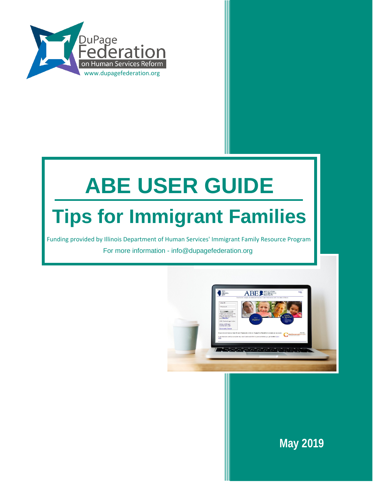

# **ABE USER GUIDE Tips for Immigrant Families**

Funding provided by Illinois Department of Human Services' Immigrant Family Resource Program For more information - info@dupagefederation.org



**May 2019**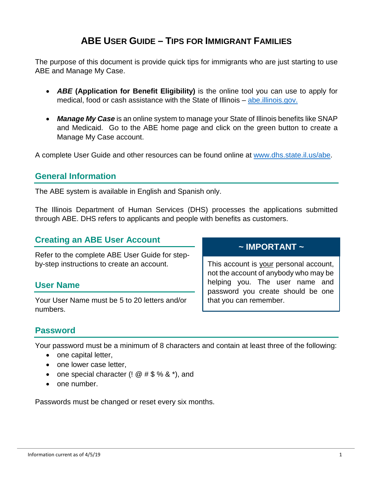# **ABE USER GUIDE – TIPS FOR IMMIGRANT FAMILIES**

The purpose of this document is provide quick tips for immigrants who are just starting to use ABE and Manage My Case.

- *ABE* **(Application for Benefit Eligibility)** is the online tool you can use to apply for medical, food or cash assistance with the State of Illinois – [abe.illinois.gov.](https://abe.illinois.gov/)
- *Manage My Case* is an online system to manage your State of Illinois benefits like SNAP and Medicaid. Go to the ABE home page and click on the green button to create a Manage My Case account.

A complete User Guide and other resources can be found online at [www.dhs.state.il.us/abe.](http://www.dhs.state.il.us/abe)

### **General Information**

The ABE system is available in English and Spanish only.

The Illinois Department of Human Services (DHS) processes the applications submitted through ABE. DHS refers to applicants and people with benefits as customers.

### **Creating an ABE User Account**

Refer to the complete ABE User Guide for stepby-step instructions to create an account.

#### **User Name**

Your User Name must be 5 to 20 letters and/or numbers.

## **~ IMPORTANT ~**

This account is your personal account, not the account of anybody who may be helping you. The user name and password you create should be one that you can remember.

## **Password**

Your password must be a minimum of 8 characters and contain at least three of the following:

- one capital letter,
- one lower case letter,
- one special character (!  $@# $% 8*$ ), and
- one number.

Passwords must be changed or reset every six months.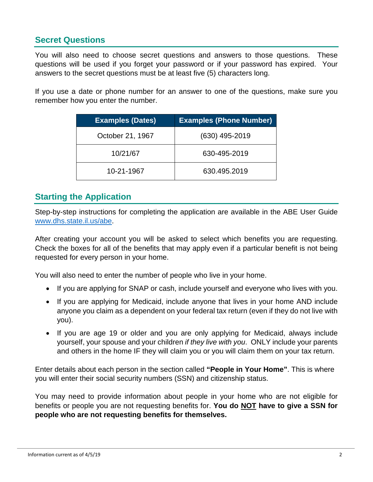## **Secret Questions**

You will also need to choose secret questions and answers to those questions. These questions will be used if you forget your password or if your password has expired. Your answers to the secret questions must be at least five (5) characters long.

If you use a date or phone number for an answer to one of the questions, make sure you remember how you enter the number.

| <b>Examples (Dates)</b> | <b>Examples (Phone Number)</b> |
|-------------------------|--------------------------------|
| October 21, 1967        | (630) 495-2019                 |
| 10/21/67                | 630-495-2019                   |
| 10-21-1967              | 630.495.2019                   |

## **Starting the Application**

Step-by-step instructions for completing the application are available in the ABE User Guide [www.dhs.state.il.us/abe.](http://www.dhs.state.il.us/abe)

After creating your account you will be asked to select which benefits you are requesting. Check the boxes for all of the benefits that may apply even if a particular benefit is not being requested for every person in your home.

You will also need to enter the number of people who live in your home.

- If you are applying for SNAP or cash, include yourself and everyone who lives with you.
- If you are applying for Medicaid, include anyone that lives in your home AND include anyone you claim as a dependent on your federal tax return (even if they do not live with you).
- If you are age 19 or older and you are only applying for Medicaid, always include yourself, your spouse and your children *if they live with you*. ONLY include your parents and others in the home IF they will claim you or you will claim them on your tax return.

Enter details about each person in the section called **"People in Your Home"**. This is where you will enter their social security numbers (SSN) and citizenship status.

You may need to provide information about people in your home who are not eligible for benefits or people you are not requesting benefits for. **You do NOT have to give a SSN for people who are not requesting benefits for themselves.**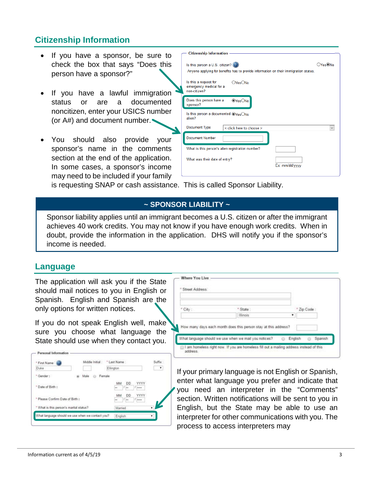## **Citizenship Information**

- If you have a sponsor, be sure to check the box that says "Does this person have a sponsor?"
- If you have a lawful immigration status or are a documented noncitizen, enter your USICS number (or A#) and document number.
- You should also provide your sponsor's name in the comments section at the end of the application. In some cases, a sponsor's income may need to be included if your family

| <b>Citizenship Information</b>                                                                                                                                                            |                     |
|-------------------------------------------------------------------------------------------------------------------------------------------------------------------------------------------|---------------------|
| Is this person a U.S. citizen? (2)<br>Anyone applying for benefits has to provide information on their immigration status.<br>Is this a request for<br>OYesONo<br>emergency medical for a | ○Yes <sup>◎No</sup> |
| non-citizen?                                                                                                                                                                              |                     |
| Does this person have a<br><b>OYesONo</b><br>sponsor?                                                                                                                                     |                     |
| Is this person a documented OYesONo<br>alien?                                                                                                                                             |                     |
| Document Type<br>< click here to choose >                                                                                                                                                 |                     |
| <b>Document Number</b>                                                                                                                                                                    |                     |
| What is this person's alien registration number?                                                                                                                                          |                     |
| What was their date of entry?<br>Ex: mm/dd/yyyy                                                                                                                                           |                     |
|                                                                                                                                                                                           |                     |

is requesting SNAP or cash assistance. This is called Sponsor Liability.

#### **~ SPONSOR LIABILITY ~**

Sponsor liability applies until an immigrant becomes a U.S. citizen or after the immigrant achieves 40 work credits. You may not know if you have enough work credits. When in doubt, provide the information in the application. DHS will notify you if the sponsor's income is needed.

#### **Language**

The application will ask you if the State should mail notices to you in English or Spanish. English and Spanish are the only options for written notices.

If you do not speak English well, make sure you choose what language the State should use when they contact you.

| * First Name - (                        | Middle Initial:                                  | * Last Name:                                | Suffix:   |
|-----------------------------------------|--------------------------------------------------|---------------------------------------------|-----------|
| Duke                                    |                                                  | Ellington                                   | ۰         |
| * Gender:                               | Female<br>Male                                   |                                             |           |
| * Date of Birth :                       |                                                  | YYYY<br><b>DD</b><br>MM<br>1.111<br>l.<br>u |           |
| * Please Confirm Date of Birth :        |                                                  | YYYY<br>DD<br>MM<br><br><br>l÷              |           |
| * What is this person's marital status? |                                                  | Married                                     | $\bullet$ |
|                                         | What language should we use when we contact you? | English                                     | ٠         |

| Street Address: |                                                                                                                          |         |           |
|-----------------|--------------------------------------------------------------------------------------------------------------------------|---------|-----------|
| * City:         | "State:                                                                                                                  |         | Zip Code: |
|                 | Illinois <sup>®</sup>                                                                                                    | ٠       |           |
|                 | How many days each month does this person stay at this address?<br>What language should we use when we mail you notices? | English | Spanish   |

If your primary language is not English or Spanish, enter what language you prefer and indicate that you need an interpreter in the "Comments" section. Written notifications will be sent to you in English, but the State may be able to use an interpreter for other communications with you. The process to access interpreters may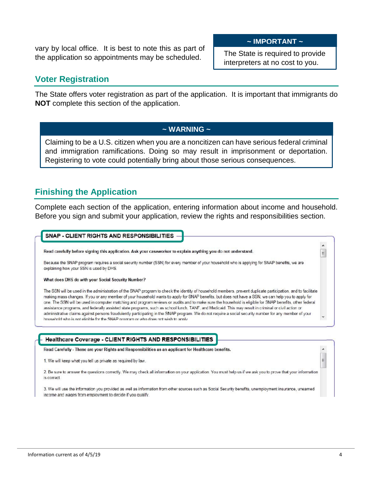vary by local office. It is best to note this as part of the application so appointments may be scheduled.

#### **~ IMPORTANT ~**

The State is required to provide interpreters at no cost to you.

## **Voter Registration**

The State offers voter registration as part of the application. It is important that immigrants do **NOT** complete this section of the application.

#### **~ WARNING ~**

Claiming to be a U.S. citizen when you are a noncitizen can have serious federal criminal and immigration ramifications. Doing so may result in imprisonment or deportation. Registering to vote could potentially bring about those serious consequences.

## **Finishing the Application**

Complete each section of the application, entering information about income and household. Before you sign and submit your application, review the rights and responsibilities section.

#### SNAP - CLIENT RIGHTS AND RESPONSIBILITIES

Read carefully before signing this application. Ask your caseworker to explain anything you do not understand.

Because the SNAP program requires a social security number (SSN) for every member of your household who is applying for SNAP benefits, we are explaining how your SSN is used by DHS.

What does DHS do with your Social Security Number?

The SSN will be used in the administration of the SNAP program to check the identity of household members, prevent duplicate participation, and to facilitate making mass changes. If you or any member of your household wants to apply for SNAP benefits, but does not have a SSN, we can help you to apply for one. The SSN will be used in computer matching and program reviews or audits and to make sure the household is eligible for SNAP benefits, other federal assistance programs, and federally assisted state programs, such as school lunch, TANF, and Medicaid. This may result in criminal or civil action or administrative claims against persons fraudulently participating in the SNAP program. We do not require a social security number for any member of your bousehold who is not eligible for the SNAP program or who does not wish to apply

#### Healthcare Coverage - CLIENT RIGHTS AND RESPONSIBILITIES

Read Carefully - These are your Rights and Responsibilities as an applicant for Healthcare benefits.

1. We will keep what you tell us private as required by law.

2. Be sure to answer the questions correctly. We may check all information on your application. You must help us if we ask you to prove that your information is correct.

3. We will use the information you provided as well as information from other sources such as Social Security benefits, unemployment insurance, unearned income and wages from employment to decide if you qualify.

 $\overline{a}$ 

 $\equiv$ 

 $\equiv$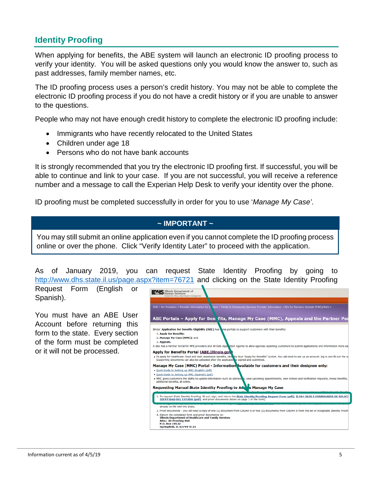## **Identity Proofing**

When applying for benefits, the ABE system will launch an electronic ID proofing process to verify your identity. You will be asked questions only you would know the answer to, such as past addresses, family member names, etc.

The ID proofing process uses a person's credit history. You may not be able to complete the electronic ID proofing process if you do not have a credit history or if you are unable to answer to the questions.

People who may not have enough credit history to complete the electronic ID proofing include:

- Immigrants who have recently relocated to the United States
- Children under age 18
- Persons who do not have bank accounts

It is strongly recommended that you try the electronic ID proofing first. If successful, you will be able to continue and link to your case. If you are not successful, you will receive a reference number and a message to call the Experian Help Desk to verify your identity over the phone.

ID proofing must be completed successfully in order for you to use '*Manage My Case'*.

### **~ IMPORTANT ~**

You may still submit an online application even if you cannot complete the ID proofing process online or over the phone. Click "Verify Identity Later" to proceed with the application.

As of January 2019, you can request State Identity Proofing by going to <http://www.dhs.state.il.us/page.aspx?item=76721> and clicking on the State Identity Proofing

┺

**UPALLO** Illinois Department of

Request Form (English or Spanish).

You must have an ABE User Account before returning this form to the state. Every section of the form must be completed or it will not be processed.

| <b>ILAM D</b> Human Services<br>Grace B. Hou, Secretary Designate                                                                                                                                                                                                                                                                                                                                                                                                                               |  |
|-------------------------------------------------------------------------------------------------------------------------------------------------------------------------------------------------------------------------------------------------------------------------------------------------------------------------------------------------------------------------------------------------------------------------------------------------------------------------------------------------|--|
| DHS > for Providers > Provider Information by D, ision > Family & Community Services Provider Information > IES for Partners Outside FCRCs/AKU ><br>ABE Portals - Apply for Benefits, Manage My Case (MMC), Appeals and the Partner Por                                                                                                                                                                                                                                                         |  |
| Illinois' Application for Benefits Eligibility (ABE) has a ree portals to support customers with their benefits:<br>1. Apply for Benefits:<br>2. Manage My Case (MMC); and<br>3. Appeals.                                                                                                                                                                                                                                                                                                       |  |
| It also has a Partner Portal for MPE providers and All Kids Appleation Agents to allow agencies assisting customers to submit applications and information more ea<br><b>Apply for Benefits Portal (ABE.Illinois.gov</b><br>· To apply for healthcare, food and cash assistance benefits, click the blue "Apply for Benefits" button. You will need to set up an account, log in and fill out the o<br>Supporting documents can also be uploaded after the application is signed and submitted. |  |
| Manage My Case (MMC) Portal - Information Available for customers and their designee only:<br>. Quick Guide to Setting up MMC (English) (pdf)<br>. Ouick Guide to Setting up MMC (Spanish) (pdf)<br>• MMC gives customers the ability to update information such as address is, view upcoming appointments, view notices and verification requests, renew benefits,<br>additional benefits, all online.<br>Requesting Manual State Identity Proofing to Act is Manage My Case                   |  |
| 1. To request State Identity Proofing, fill out, sign, and return the State Identity Proofing Request Form (pdf), IL444-3610 S FORMULARIO DE SOLICI<br>IDENTIDAD DEL ESTADO (pdf), and proof documents (listed on page 3 of the form).                                                                                                                                                                                                                                                          |  |
| already on file with the State.<br>3. Proof documents - you will need a copy of one (1) document from Column A or two (2) documents from Column B from the list of Acceptable Identity Proofi<br>4. Return the completed form and proof documents to:<br><b>Illinois Department of Healthcare and Family Services</b><br><b>Attn.: ID Proofing Unit</b><br>P.O. Box 19122<br>Springfield, IL 62794-9122                                                                                         |  |